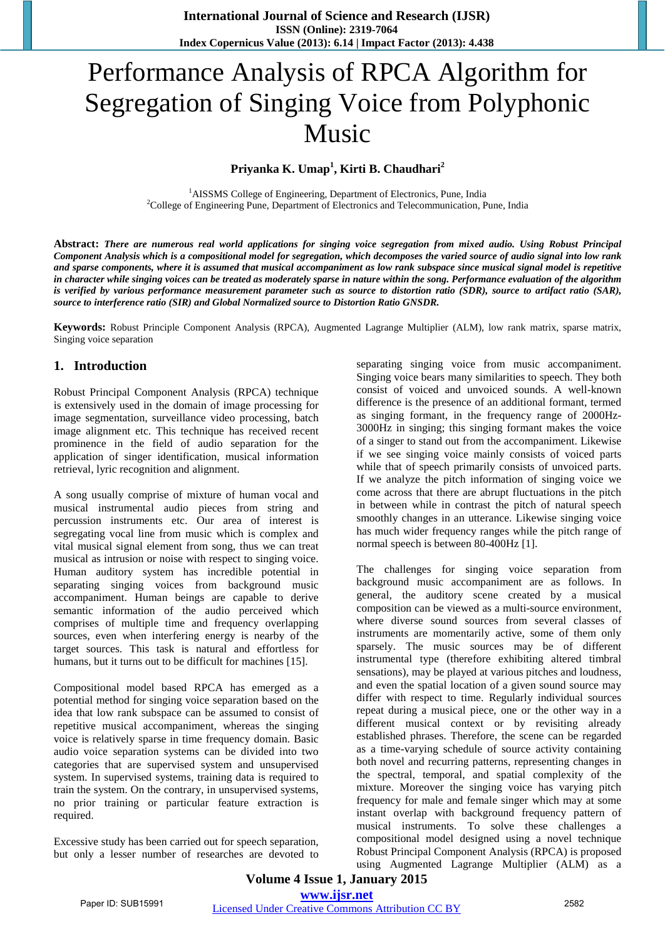# Performance Analysis of RPCA Algorithm for Segregation of Singing Voice from Polyphonic Music

# **Priyanka K. Umap<sup>1</sup> , Kirti B. Chaudhari<sup>2</sup>**

<sup>1</sup>AISSMS College of Engineering, Department of Electronics, Pune, India <sup>2</sup>College of Engineering Pune, Department of Electronics and Telecommunication, Pune, India

**Abstract:** *There are numerous real world applications for singing voice segregation from mixed audio. Using Robust Principal Component Analysis which is a compositional model for segregation, which decomposes the varied source of audio signal into low rank and sparse components, where it is assumed that musical accompaniment as low rank subspace since musical signal model is repetitive in character while singing voices can be treated as moderately sparse in nature within the song. Performance evaluation of the algorithm is verified by various performance measurement parameter such as source to distortion ratio (SDR), source to artifact ratio (SAR), source to interference ratio (SIR) and Global Normalized source to Distortion Ratio GNSDR.* 

**Keywords:** Robust Principle Component Analysis (RPCA), Augmented Lagrange Multiplier (ALM), low rank matrix, sparse matrix, Singing voice separation

# **1. Introduction**

Robust Principal Component Analysis (RPCA) technique is extensively used in the domain of image processing for image segmentation, surveillance video processing, batch image alignment etc. This technique has received recent prominence in the field of audio separation for the application of singer identification, musical information retrieval, lyric recognition and alignment.

A song usually comprise of mixture of human vocal and musical instrumental audio pieces from string and percussion instruments etc. Our area of interest is segregating vocal line from music which is complex and vital musical signal element from song, thus we can treat musical as intrusion or noise with respect to singing voice. Human auditory system has incredible potential in separating singing voices from background music accompaniment. Human beings are capable to derive semantic information of the audio perceived which comprises of multiple time and frequency overlapping sources, even when interfering energy is nearby of the target sources. This task is natural and effortless for humans, but it turns out to be difficult for machines [15].

Compositional model based RPCA has emerged as a potential method for singing voice separation based on the idea that low rank subspace can be assumed to consist of repetitive musical accompaniment, whereas the singing voice is relatively sparse in time frequency domain. Basic audio voice separation systems can be divided into two categories that are supervised system and unsupervised system. In supervised systems, training data is required to train the system. On the contrary, in unsupervised systems, no prior training or particular feature extraction is required.

Excessive study has been carried out for speech separation, but only a lesser number of researches are devoted to

separating singing voice from music accompaniment. Singing voice bears many similarities to speech. They both consist of voiced and unvoiced sounds. A well-known difference is the presence of an additional formant, termed as singing formant, in the frequency range of 2000Hz-3000Hz in singing; this singing formant makes the voice of a singer to stand out from the accompaniment. Likewise if we see singing voice mainly consists of voiced parts while that of speech primarily consists of unvoiced parts. If we analyze the pitch information of singing voice we come across that there are abrupt fluctuations in the pitch in between while in contrast the pitch of natural speech smoothly changes in an utterance. Likewise singing voice has much wider frequency ranges while the pitch range of normal speech is between 80-400Hz [1].

The challenges for singing voice separation from background music accompaniment are as follows. In general, the auditory scene created by a musical composition can be viewed as a multi-source environment, where diverse sound sources from several classes of instruments are momentarily active, some of them only sparsely. The music sources may be of different instrumental type (therefore exhibiting altered timbral sensations), may be played at various pitches and loudness, and even the spatial location of a given sound source may differ with respect to time. Regularly individual sources repeat during a musical piece, one or the other way in a different musical context or by revisiting already established phrases. Therefore, the scene can be regarded as a time-varying schedule of source activity containing both novel and recurring patterns, representing changes in the spectral, temporal, and spatial complexity of the mixture. Moreover the singing voice has varying pitch frequency for male and female singer which may at some instant overlap with background frequency pattern of musical instruments. To solve these challenges a compositional model designed using a novel technique Robust Principal Component Analysis (RPCA) is proposed using Augmented Lagrange Multiplier (ALM) as a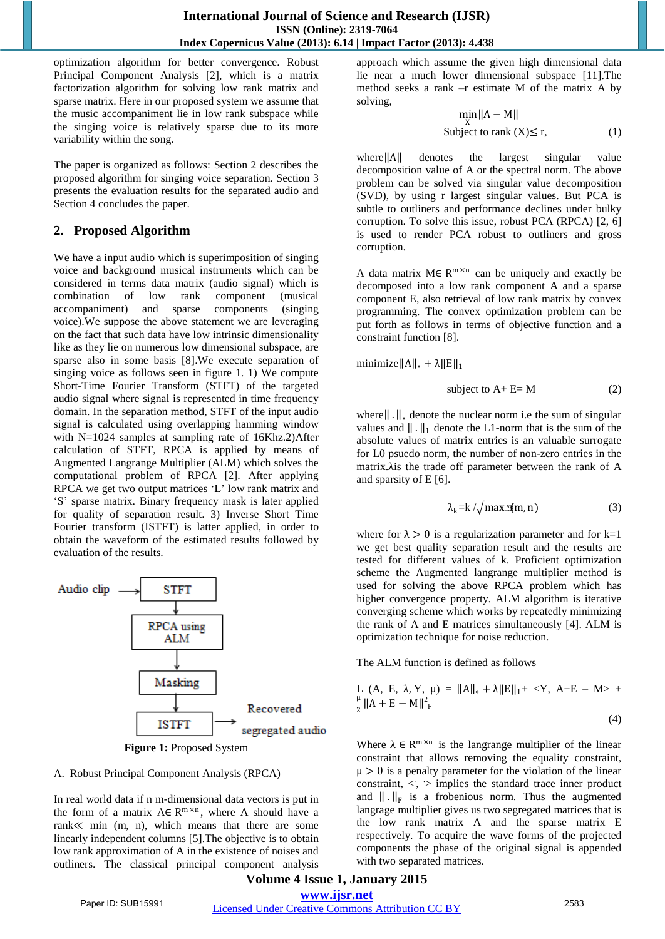optimization algorithm for better convergence. Robust Principal Component Analysis [2], which is a matrix factorization algorithm for solving low rank matrix and sparse matrix. Here in our proposed system we assume that the music accompaniment lie in low rank subspace while the singing voice is relatively sparse due to its more variability within the song.

The paper is organized as follows: Section 2 describes the proposed algorithm for singing voice separation. Section 3 presents the evaluation results for the separated audio and Section 4 concludes the paper.

## **2. Proposed Algorithm**

We have a input audio which is superimposition of singing voice and background musical instruments which can be considered in terms data matrix (audio signal) which is combination of low rank component (musical accompaniment) and sparse components (singing voice).We suppose the above statement we are leveraging on the fact that such data have low intrinsic dimensionality like as they lie on numerous low dimensional subspace, are sparse also in some basis [8].We execute separation of singing voice as follows seen in figure 1. 1) We compute Short-Time Fourier Transform (STFT) of the targeted audio signal where signal is represented in time frequency domain. In the separation method, STFT of the input audio signal is calculated using overlapping hamming window with N=1024 samples at sampling rate of 16Khz.2)After calculation of STFT, RPCA is applied by means of Augmented Langrange Multiplier (ALM) which solves the computational problem of RPCA [2]. After applying RPCA we get two output matrices "L" low rank matrix and "S" sparse matrix. Binary frequency mask is later applied for quality of separation result. 3) Inverse Short Time Fourier transform (ISTFT) is latter applied, in order to obtain the waveform of the estimated results followed by evaluation of the results.



**Figure 1:** Proposed System

#### A. Robust Principal Component Analysis (RPCA)

In real world data if n m-dimensional data vectors is put in the form of a matrix  $A \in R^{m \times n}$ , where A should have a rank≪ min (m, n), which means that there are some linearly independent columns [5].The objective is to obtain low rank approximation of A in the existence of noises and outliners. The classical principal component analysis

approach which assume the given high dimensional data lie near a much lower dimensional subspace [11].The method seeks a rank –r estimate M of the matrix A by solving,

$$
\min_{X} ||A - M||
$$
  
Subject to rank  $(X) \le r$ , (1)

where  $||A||$  denotes the largest singular value decomposition value of A or the spectral norm. The above problem can be solved via singular value decomposition (SVD), by using r largest singular values. But PCA is subtle to outliners and performance declines under bulky corruption. To solve this issue, robust PCA (RPCA) [2, 6] is used to render PCA robust to outliners and gross corruption.

A data matrix  $M \in \mathbb{R}^{m \times n}$  can be uniquely and exactly be decomposed into a low rank component A and a sparse component E, also retrieval of low rank matrix by convex programming. The convex optimization problem can be put forth as follows in terms of objective function and a constraint function [8].

minimize $||A||_* + \lambda ||E||_1$ 

$$
subject to A + E = M \tag{2}
$$

where $\| \cdot \|_*$  denote the nuclear norm i.e the sum of singular values and  $\|\cdot\|_1$  denote the L1-norm that is the sum of the absolute values of matrix entries is an valuable surrogate for L0 psuedo norm, the number of non-zero entries in the matrix.λis the trade off parameter between the rank of A and sparsity of E [6].

$$
\lambda_{k} = k / \sqrt{\max[ n(m, n) ]}
$$
 (3)

where for  $\lambda > 0$  is a regularization parameter and for k=1 we get best quality separation result and the results are tested for different values of k. Proficient optimization scheme the Augmented langrange multiplier method is used for solving the above RPCA problem which has higher convergence property. ALM algorithm is iterative converging scheme which works by repeatedly minimizing the rank of A and E matrices simultaneously [4]. ALM is optimization technique for noise reduction.

The ALM function is defined as follows

L (A, E, 
$$
\lambda
$$
, Y,  $\mu$ ) =  $||A||_* + \lambda ||E||_1 + \langle Y, A+E - M \rangle +$   
 $\frac{\mu}{2} ||A + E - M||^2_F$  (4)

Where  $\lambda \in \mathbb{R}^{m \times n}$  is the langrange multiplier of the linear constraint that allows removing the equality constraint,  $\mu > 0$  is a penalty parameter for the violation of the linear  $\epsilon$  constraint,  $\epsilon$ ,  $>$  implies the standard trace inner product and  $\|\cdot\|_F$  is a frobenious norm. Thus the augmented langrage multiplier gives us two segregated matrices that is the low rank matrix A and the sparse matrix E respectively. To acquire the wave forms of the projected components the phase of the original signal is appended with two separated matrices.

## **Volume 4 Issue 1, January 2015 www.ijsr.net** Paper ID: SUB15991 Licensed Under Creative Commons Attribution CC BY 2583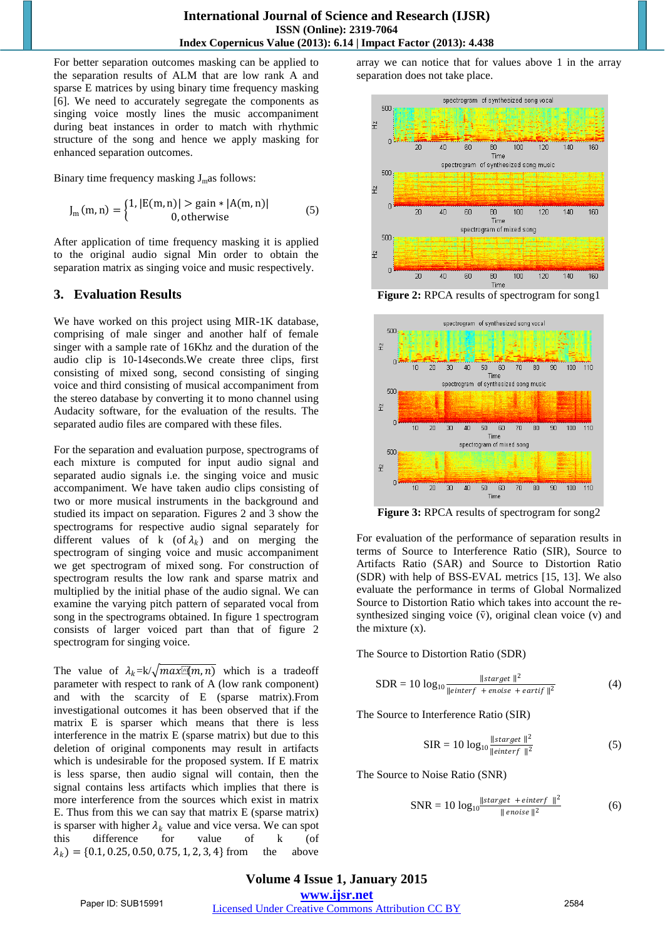For better separation outcomes masking can be applied to the separation results of ALM that are low rank A and sparse E matrices by using binary time frequency masking [6]. We need to accurately segregate the components as singing voice mostly lines the music accompaniment during beat instances in order to match with rhythmic structure of the song and hence we apply masking for enhanced separation outcomes.

Binary time frequency masking  $J<sub>m</sub>$  as follows:

$$
J_{m}(m, n) = \begin{cases} 1, |E(m, n)| > \text{gain} * |A(m, n)| \\ 0, \text{otherwise} \end{cases}
$$
 (5)

After application of time frequency masking it is applied to the original audio signal Min order to obtain the separation matrix as singing voice and music respectively.

# **3. Evaluation Results**

We have worked on this project using MIR-1K database, comprising of male singer and another half of female singer with a sample rate of 16Khz and the duration of the audio clip is 10-14seconds.We create three clips, first consisting of mixed song, second consisting of singing voice and third consisting of musical accompaniment from the stereo database by converting it to mono channel using Audacity software, for the evaluation of the results. The separated audio files are compared with these files.

For the separation and evaluation purpose, spectrograms of each mixture is computed for input audio signal and separated audio signals i.e. the singing voice and music accompaniment. We have taken audio clips consisting of two or more musical instruments in the background and studied its impact on separation. Figures 2 and 3 show the spectrograms for respective audio signal separately for different values of k (of  $\lambda_k$ ) and on merging the spectrogram of singing voice and music accompaniment we get spectrogram of mixed song. For construction of spectrogram results the low rank and sparse matrix and multiplied by the initial phase of the audio signal. We can examine the varying pitch pattern of separated vocal from song in the spectrograms obtained. In figure 1 spectrogram consists of larger voiced part than that of figure 2 spectrogram for singing voice.

The value of  $\lambda_k = k / \sqrt{max(m, n)}$  which is a tradeoff parameter with respect to rank of A (low rank component) and with the scarcity of E (sparse matrix).From investigational outcomes it has been observed that if the matrix E is sparser which means that there is less interference in the matrix E (sparse matrix) but due to this deletion of original components may result in artifacts which is undesirable for the proposed system. If E matrix is less sparse, then audio signal will contain, then the signal contains less artifacts which implies that there is more interference from the sources which exist in matrix E. Thus from this we can say that matrix E (sparse matrix) is sparser with higher  $\lambda_k$  value and vice versa. We can spot this difference for value of k (of  $\lambda_k$ ) = {0.1, 0.25, 0.50, 0.75, 1, 2, 3, 4} from the above

array we can notice that for values above 1 in the array separation does not take place.



**Figure 2:** RPCA results of spectrogram for song1



**Figure 3:** RPCA results of spectrogram for song2

For evaluation of the performance of separation results in terms of Source to Interference Ratio (SIR), Source to Artifacts Ratio (SAR) and Source to Distortion Ratio (SDR) with help of BSS-EVAL metrics [15, 13]. We also evaluate the performance in terms of Global Normalized Source to Distortion Ratio which takes into account the resynthesized singing voice  $(\bar{v})$ , original clean voice  $(v)$  and the mixture (x).

The Source to Distortion Ratio (SDR)

$$
SDR = 10 \log_{10} \frac{\|\text{starget}\|^2}{\|\text{einterf + encise + eartif}\|^2}
$$
 (4)

The Source to Interference Ratio (SIR)

$$
SIR = 10 \log_{10} \frac{\|\text{starget}\|^2}{\|\text{einterf}\|^2}
$$
 (5)

The Source to Noise Ratio (SNR)

$$
SNR = 10 \log_{10} \frac{\|\text{starget} + \text{einterf}\|^2}{\|\text{enoise}\|^2}
$$
 (6)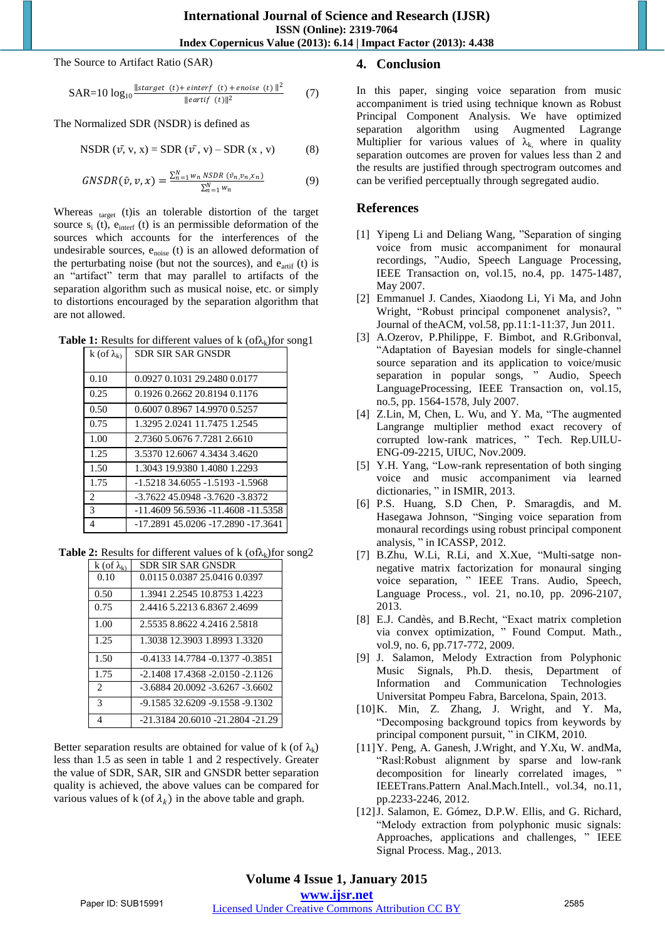The Source to Artifact Ratio (SAR)

$$
SAR = 10 \log_{10} \frac{\| \text{starget } (t) + \text{enterf } (t) + \text{enoise } (t) \|^2}{\| \text{eartif } (t) \|^2}
$$
 (7)

The Normalized SDR (NSDR) is defined as

$$
NSDR (\bar{v}, v, x) = SDR (\bar{v}, v) - SDR (x, v) \tag{8}
$$

$$
GNSDR(\bar{v}, v, x) = \frac{\sum_{n=1}^{N} w_n \, NSDR\, (\bar{v}_n, v_n, x_n)}{\sum_{n=1}^{N} w_n}
$$
(9)

Whereas target (t)is an tolerable distortion of the target source  $s_i$  (t),  $e_{\text{interf}}$  (t) is an permissible deformation of the sources which accounts for the interferences of the undesirable sources, e<sub>noise</sub> (t) is an allowed deformation of the perturbating noise (but not the sources), and  $e_{\text{artif}}$  (t) is an "artifact" term that may parallel to artifacts of the separation algorithm such as musical noise, etc. or simply to distortions encouraged by the separation algorithm that are not allowed.

**Table 1:** Results for different values of  $k$  (of $\lambda_k$ ) for song1

| k (of $\lambda_{k}$ )       | <b>SDR SIR SAR GNSDR</b>           |
|-----------------------------|------------------------------------|
|                             |                                    |
| 0.10                        | 0.0927 0.1031 29.2480 0.0177       |
| 0.25                        | 0.1926 0.2662 20.8194 0.1176       |
| 0.50                        | 0.6007 0.8967 14.9970 0.5257       |
| 0.75                        | 1.3295 2.0241 11.7475 1.2545       |
| 1.00                        | 2.7360 5.0676 7.7281 2.6610        |
| 1.25                        | 3.5370 12.6067 4.3434 3.4620       |
| 1.50                        | 1.3043 19.9380 1.4080 1.2293       |
| 1.75                        | -1.5218 34.6055 -1.5193 -1.5968    |
| $\mathcal{D}_{\mathcal{L}}$ | -3.7622 45.0948 -3.7620 -3.8372    |
| 3                           | -11.4609 56.5936 -11.4608 -11.5358 |
| 4                           | -17.2891 45.0206 -17.2890 -17.3641 |

**Table 2:** Results for different values of k  $(\text{of } \lambda_k)$  for song 2

| k (of $\lambda_{k}$ )       | SDR SIR SAR GNSDR                     |
|-----------------------------|---------------------------------------|
| 0.10                        | 0.0115 0.0387 25.0416 0.0397          |
| 0.50                        | 1.3941 2.2545 10.8753 1.4223          |
| 0.75                        | 2.4416 5.2213 6.8367 2.4699           |
| 1.00                        | 2.5535 8.8622 4.2416 2.5818           |
| 1.25                        | 1.3038 12.3903 1.8993 1.3320          |
| 1.50                        | $-0.4133$ 14.7784 $-0.1377$ $-0.3851$ |
| 1.75                        | $-2.1408$ 17.4368 $-2.0150$ $-2.1126$ |
| $\mathcal{D}_{\mathcal{L}}$ | $-3.688420.0092 - 3.6267 - 3.6602$    |
| $\mathcal{R}$               | -9.1585 32.6209 -9.1558 -9.1302       |
| $\overline{4}$              | -21.3184 20.6010 -21.2804 -21.29      |

Better separation results are obtained for value of k (of  $\lambda_k$ ) less than 1.5 as seen in table 1 and 2 respectively. Greater the value of SDR, SAR, SIR and GNSDR better separation quality is achieved, the above values can be compared for various values of k (of  $\lambda_k$ ) in the above table and graph.

## **4. Conclusion**

In this paper, singing voice separation from music accompaniment is tried using technique known as Robust Principal Component Analysis. We have optimized separation algorithm using Augmented Lagrange Multiplier for various values of  $\lambda_k$  where in quality separation outcomes are proven for values less than 2 and the results are justified through spectrogram outcomes and can be verified perceptually through segregated audio.

### **References**

- [1] Yipeng Li and Deliang Wang, "Separation of singing voice from music accompaniment for monaural recordings, "Audio, Speech Language Processing, IEEE Transaction on, vol.15, no.4, pp. 1475-1487, May 2007.
- [2] Emmanuel J. Candes, Xiaodong Li, Yi Ma, and John Wright, "Robust principal componenet analysis?, " Journal of theACM, vol.58, pp.11:1-11:37, Jun 2011.
- [3] A.Ozerov, P.Philippe, F. Bimbot, and R.Gribonval, "Adaptation of Bayesian models for single-channel source separation and its application to voice/music separation in popular songs, " Audio, Speech LanguageProcessing, IEEE Transaction on, vol.15, no.5, pp. 1564-1578, July 2007.
- [4] Z.Lin, M, Chen, L. Wu, and Y. Ma, "The augmented Langrange multiplier method exact recovery of corrupted low-rank matrices, " Tech. Rep.UILU-ENG-09-2215, UIUC, Nov.2009.
- [5] Y.H. Yang, "Low-rank representation of both singing voice and music accompaniment via learned dictionaries, " in ISMIR, 2013.
- [6] P.S. Huang, S.D Chen, P. Smaragdis, and M. Hasegawa Johnson, "Singing voice separation from monaural recordings using robust principal component analysis, " in ICASSP, 2012.
- [7] B.Zhu, W.Li, R.Li, and X.Xue, "Multi-satge nonnegative matrix factorization for monaural singing voice separation, " IEEE Trans. Audio, Speech, Language Process., vol. 21, no.10, pp. 2096-2107, 2013.
- [8] E.J. Candès, and B.Recht, "Exact matrix completion via convex optimization, " Found Comput. Math., vol.9, no. 6, pp.717-772, 2009.
- [9] J. Salamon, Melody Extraction from Polyphonic Music Signals, Ph.D. thesis, Department of Information and Communication Technologies Universitat Pompeu Fabra, Barcelona, Spain, 2013.
- [10]K. Min, Z. Zhang, J. Wright, and Y. Ma, "Decomposing background topics from keywords by principal component pursuit, " in CIKM, 2010.
- [11]Y. Peng, A. Ganesh, J.Wright, and Y.Xu, W. andMa, "Rasl:Robust alignment by sparse and low-rank decomposition for linearly correlated images, " IEEETrans.Pattern Anal.Mach.Intell., vol.34, no.11, pp.2233-2246, 2012.
- [12] J. Salamon, E. Gómez, D.P.W. Ellis, and G. Richard, "Melody extraction from polyphonic music signals: Approaches, applications and challenges, " IEEE Signal Process. Mag., 2013.